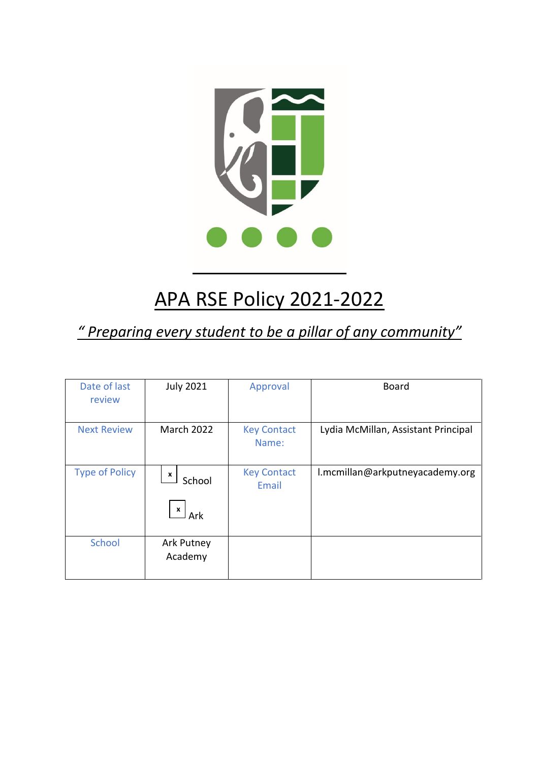

# APA RSE Policy 2021-2022

## *" Preparing every student to be a pillar of any community"*

| Date of last<br>review | <b>July 2021</b>                   | Approval                    | <b>Board</b>                        |
|------------------------|------------------------------------|-----------------------------|-------------------------------------|
| <b>Next Review</b>     | <b>March 2022</b>                  | <b>Key Contact</b><br>Name: | Lydia McMillan, Assistant Principal |
| <b>Type of Policy</b>  | X<br>School<br>$\mathbf{x}$<br>Ark | <b>Key Contact</b><br>Email | l.mcmillan@arkputneyacademy.org     |
| School                 | Ark Putney<br>Academy              |                             |                                     |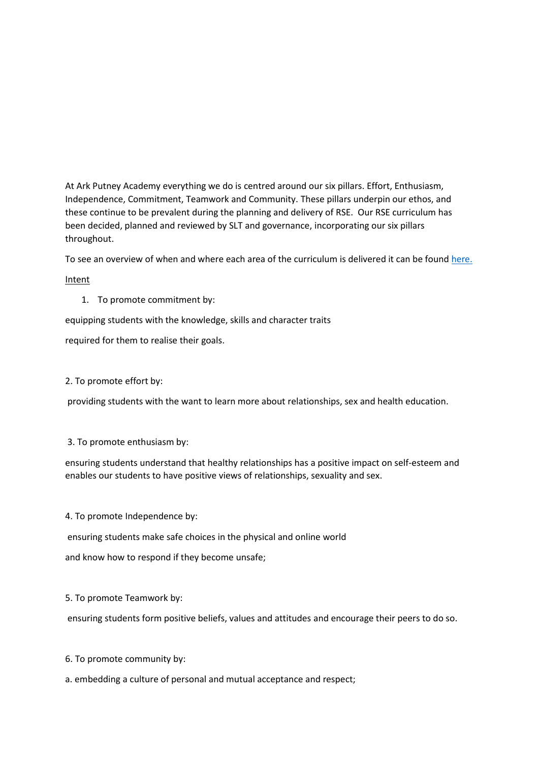At Ark Putney Academy everything we do is centred around our six pillars. Effort, Enthusiasm, Independence, Commitment, Teamwork and Community. These pillars underpin our ethos, and these continue to be prevalent during the planning and delivery of RSE. Our RSE curriculum has been decided, planned and reviewed by SLT and governance, incorporating our six pillars throughout.

To see an overview of when and where each area of the curriculum is delivered it can be foun[d here.](https://arkputney.org/page-strips/pscherse-and-re)

Intent

1. To promote commitment by:

equipping students with the knowledge, skills and character traits

required for them to realise their goals.

2. To promote effort by:

providing students with the want to learn more about relationships, sex and health education.

3. To promote enthusiasm by:

ensuring students understand that healthy relationships has a positive impact on self-esteem and enables our students to have positive views of relationships, sexuality and sex.

#### 4. To promote Independence by:

ensuring students make safe choices in the physical and online world

and know how to respond if they become unsafe;

#### 5. To promote Teamwork by:

ensuring students form positive beliefs, values and attitudes and encourage their peers to do so.

6. To promote community by:

#### a. embedding a culture of personal and mutual acceptance and respect;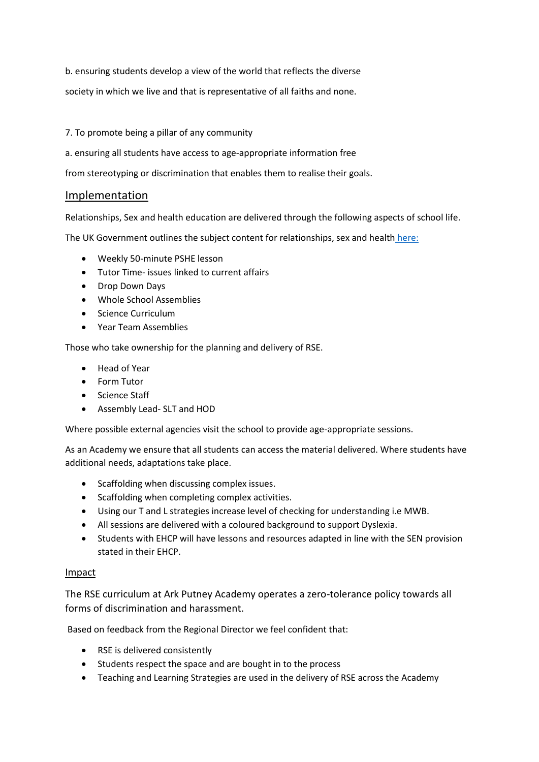b. ensuring students develop a view of the world that reflects the diverse

society in which we live and that is representative of all faiths and none.

#### 7. To promote being a pillar of any community

a. ensuring all students have access to age-appropriate information free

from stereotyping or discrimination that enables them to realise their goals.

#### Implementation

Relationships, Sex and health education are delivered through the following aspects of school life.

The UK Government outlines the subject content for relationships, sex and health [here:](https://assets.publishing.service.gov.uk/government/uploads/system/uploads/attachment_data/file/1019542/Relationships_Education__Relationships_and_Sex_Education__RSE__and_Health_Education.pdf)

- Weekly 50-minute PSHE lesson
- Tutor Time- issues linked to current affairs
- Drop Down Days
- Whole School Assemblies
- Science Curriculum
- Year Team Assemblies

Those who take ownership for the planning and delivery of RSE.

- Head of Year
- Form Tutor
- Science Staff
- Assembly Lead- SLT and HOD

Where possible external agencies visit the school to provide age-appropriate sessions.

As an Academy we ensure that all students can access the material delivered. Where students have additional needs, adaptations take place.

- Scaffolding when discussing complex issues.
- Scaffolding when completing complex activities.
- Using our T and L strategies increase level of checking for understanding i.e MWB.
- All sessions are delivered with a coloured background to support Dyslexia.
- Students with EHCP will have lessons and resources adapted in line with the SEN provision stated in their EHCP.

#### Impact

The RSE curriculum at Ark Putney Academy operates a zero-tolerance policy towards all forms of discrimination and harassment.

Based on feedback from the Regional Director we feel confident that:

- RSE is delivered consistently
- Students respect the space and are bought in to the process
- Teaching and Learning Strategies are used in the delivery of RSE across the Academy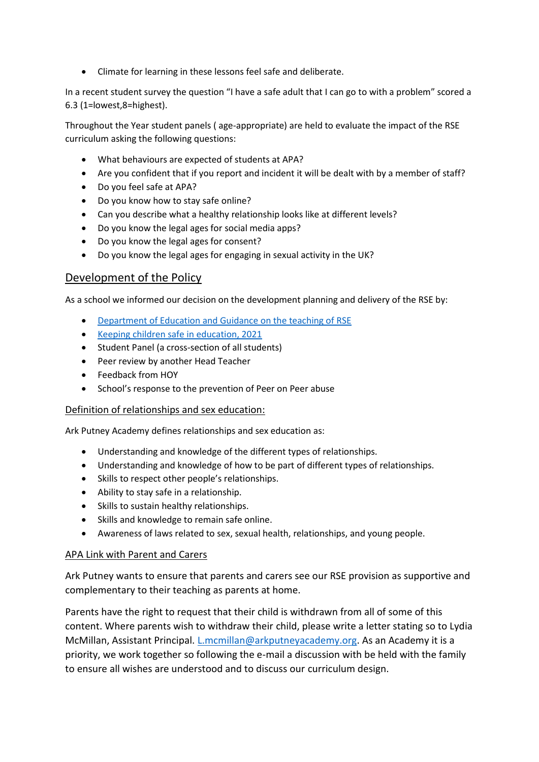• Climate for learning in these lessons feel safe and deliberate.

In a recent student survey the question "I have a safe adult that I can go to with a problem" scored a 6.3 (1=lowest,8=highest).

Throughout the Year student panels ( age-appropriate) are held to evaluate the impact of the RSE curriculum asking the following questions:

- What behaviours are expected of students at APA?
- Are you confident that if you report and incident it will be dealt with by a member of staff?
- Do you feel safe at APA?
- Do you know how to stay safe online?
- Can you describe what a healthy relationship looks like at different levels?
- Do you know the legal ages for social media apps?
- Do you know the legal ages for consent?
- Do you know the legal ages for engaging in sexual activity in the UK?

### Development of the Policy

As a school we informed our decision on the development planning and delivery of the RSE by:

- [Department of Education and Guidance on the teaching of RSE](https://www.gov.uk/government/publications/relationships-education-relationships-and-sex-education-rse-and-health-education)
- [Keeping children safe in education, 2021](https://assets.publishing.service.gov.uk/government/uploads/system/uploads/attachment_data/file/1021914/KCSIE_2021_September_guidance.pdf)
- Student Panel (a cross-section of all students)
- Peer review by another Head Teacher
- Feedback from HOY
- School's response to the prevention of Peer on Peer abuse

#### Definition of relationships and sex education:

Ark Putney Academy defines relationships and sex education as:

- Understanding and knowledge of the different types of relationships.
- Understanding and knowledge of how to be part of different types of relationships.
- Skills to respect other people's relationships.
- Ability to stay safe in a relationship.
- Skills to sustain healthy relationships.
- Skills and knowledge to remain safe online.
- Awareness of laws related to sex, sexual health, relationships, and young people.

#### APA Link with Parent and Carers

Ark Putney wants to ensure that parents and carers see our RSE provision as supportive and complementary to their teaching as parents at home.

Parents have the right to request that their child is withdrawn from all of some of this content. Where parents wish to withdraw their child, please write a letter stating so to Lydia McMillan, Assistant Principal. *L.mcmillan@arkputneyacademy.org*. As an Academy it is a priority, we work together so following the e-mail a discussion with be held with the family to ensure all wishes are understood and to discuss our curriculum design.